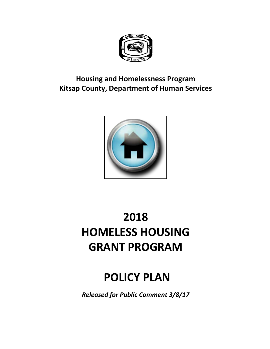

# **Housing and Homelessness Program Kitsap County, Department of Human Services**



# **2018 HOMELESS HOUSING GRANT PROGRAM**

# **POLICY PLAN**

*Released for Public Comment 3/8/17*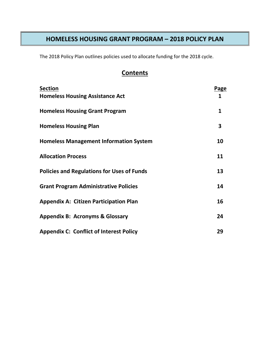## **HOMELESS HOUSING GRANT PROGRAM – 2018 POLICY PLAN**

The 2018 Policy Plan outlines policies used to allocate funding for the 2018 cycle.

# **Contents**

| <b>Section</b>                                    | <b>Page</b> |
|---------------------------------------------------|-------------|
| <b>Homeless Housing Assistance Act</b>            | 1           |
| <b>Homeless Housing Grant Program</b>             | 1           |
| <b>Homeless Housing Plan</b>                      | 3           |
| <b>Homeless Management Information System</b>     | 10          |
| <b>Allocation Process</b>                         | 11          |
| <b>Policies and Regulations for Uses of Funds</b> | 13          |
| <b>Grant Program Administrative Policies</b>      | 14          |
| <b>Appendix A: Citizen Participation Plan</b>     | 16          |
| <b>Appendix B: Acronyms &amp; Glossary</b>        | 24          |
| <b>Appendix C: Conflict of Interest Policy</b>    | 29          |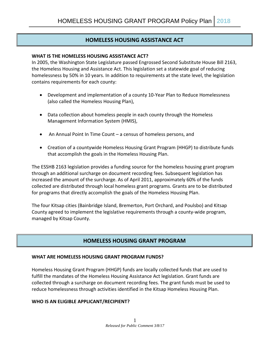#### **HOMELESS HOUSING ASSISTANCE ACT**

#### **WHAT IS THE HOMELESS HOUSING ASSISTANCE ACT?**

In 2005, the Washington State Legislature passed Engrossed Second Substitute House Bill 2163, the Homeless Housing and Assistance Act. This legislation set a statewide goal of reducing homelessness by 50% in 10 years. In addition to requirements at the state level, the legislation contains requirements for each county:

- Development and implementation of a county 10-Year Plan to Reduce Homelessness (also called the Homeless Housing Plan),
- Data collection about homeless people in each county through the Homeless Management Information System (HMIS),
- An Annual Point In Time Count a census of homeless persons, and
- Creation of a countywide Homeless Housing Grant Program (HHGP) to distribute funds that accomplish the goals in the Homeless Housing Plan.

The ESSHB 2163 legislation provides a funding source for the homeless housing grant program through an additional surcharge on document recording fees. Subsequent legislation has increased the amount of the surcharge. As of April 2011, approximately 60% of the funds collected are distributed through local homeless grant programs. Grants are to be distributed for programs that directly accomplish the goals of the Homeless Housing Plan.

The four Kitsap cities (Bainbridge Island, Bremerton, Port Orchard, and Poulsbo) and Kitsap County agreed to implement the legislative requirements through a county-wide program, managed by Kitsap County.

#### **HOMELESS HOUSING GRANT PROGRAM**

#### **WHAT ARE HOMELESS HOUSING GRANT PROGRAM FUNDS?**

Homeless Housing Grant Program (HHGP) funds are locally collected funds that are used to fulfill the mandates of the Homeless Housing Assistance Act legislation. Grant funds are collected through a surcharge on document recording fees. The grant funds must be used to reduce homelessness through activities identified in the Kitsap Homeless Housing Plan.

#### **WHO IS AN ELIGIBLE APPLICANT/RECIPIENT?**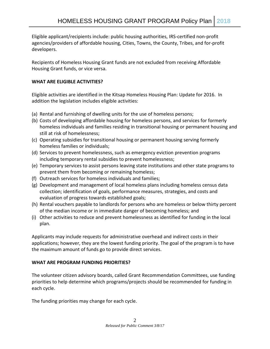Eligible applicant/recipients include: public housing authorities, IRS-certified non-profit agencies/providers of affordable housing, Cities, Towns, the County, Tribes, and for-profit developers.

Recipients of Homeless Housing Grant funds are not excluded from receiving Affordable Housing Grant funds, or vice versa.

#### **WHAT ARE ELIGIBLE ACTIVITIES?**

Eligible activities are identified in the Kitsap Homeless Housing Plan: Update for 2016. In addition the legislation includes eligible activities:

- (a) Rental and furnishing of dwelling units for the use of homeless persons;
- (b) Costs of developing affordable housing for homeless persons, and services for formerly homeless individuals and families residing in transitional housing or permanent housing and still at risk of homelessness;
- (c) Operating subsidies for transitional housing or permanent housing serving formerly homeless families or individuals;
- (d) Services to prevent homelessness, such as emergency eviction prevention programs including temporary rental subsidies to prevent homelessness;
- (e) Temporary services to assist persons leaving state institutions and other state programs to prevent them from becoming or remaining homeless;
- (f) Outreach services for homeless individuals and families;
- (g) Development and management of local homeless plans including homeless census data collection; identification of goals, performance measures, strategies, and costs and evaluation of progress towards established goals;
- (h) Rental vouchers payable to landlords for persons who are homeless or below thirty percent of the median income or in immediate danger of becoming homeless; and
- (i) Other activities to reduce and prevent homelessness as identified for funding in the local plan.

Applicants may include requests for administrative overhead and indirect costs in their applications; however, they are the lowest funding priority. The goal of the program is to have the maximum amount of funds go to provide direct services.

#### **WHAT ARE PROGRAM FUNDING PRIORITIES?**

The volunteer citizen advisory boards, called Grant Recommendation Committees, use funding priorities to help determine which programs/projects should be recommended for funding in each cycle.

The funding priorities may change for each cycle.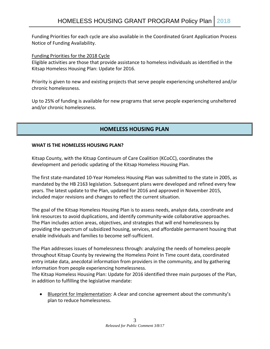Funding Priorities for each cycle are also available in the Coordinated Grant Application Process Notice of Funding Availability.

#### Funding Priorities for the 2018 Cycle

Eligible activities are those that provide assistance to homeless individuals as identified in the Kitsap Homeless Housing Plan: Update for 2016.

Priority is given to new and existing projects that serve people experiencing unsheltered and/or chronic homelessness.

Up to 25% of funding is available for new programs that serve people experiencing unsheltered and/or chronic homelessness.

## **HOMELESS HOUSING PLAN**

#### **WHAT IS THE HOMELESS HOUSING PLAN?**

Kitsap County, with the Kitsap Continuum of Care Coalition (KCoCC), coordinates the development and periodic updating of the Kitsap Homeless Housing Plan.

The first state-mandated 10-Year Homeless Housing Plan was submitted to the state in 2005, as mandated by the HB 2163 legislation. Subsequent plans were developed and refined every few years. The latest update to the Plan, updated for 2016 and approved in November 2015, included major revisions and changes to reflect the current situation.

The goal of the Kitsap Homeless Housing Plan is to assess needs, analyze data, coordinate and link resources to avoid duplications, and identify community-wide collaborative approaches. The Plan includes action areas, objectives, and strategies that will end homelessness by providing the spectrum of subsidized housing, services, and affordable permanent housing that enable individuals and families to become self-sufficient.

The Plan addresses issues of homelessness through: analyzing the needs of homeless people throughout Kitsap County by reviewing the Homeless Point In Time count data, coordinated entry intake data, anecdotal information from providers in the community, and by gathering information from people experiencing homelessness.

The Kitsap Homeless Housing Plan: Update for 2016 identified three main purposes of the Plan, in addition to fulfilling the legislative mandate:

• Blueprint for Implementation: A clear and concise agreement about the community's plan to reduce homelessness.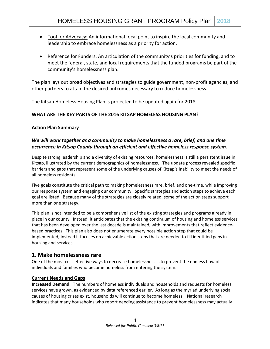- Tool for Advocacy: An informational focal point to inspire the local community and leadership to embrace homelessness as a priority for action.
- Reference for Funders: An articulation of the community's priorities for funding, and to meet the federal, state, and local requirements that the funded programs be part of the community's homelessness plan.

The plan lays out broad objectives and strategies to guide government, non-profit agencies, and other partners to attain the desired outcomes necessary to reduce homelessness.

The Kitsap Homeless Housing Plan is projected to be updated again for 2018.

#### **WHAT ARE THE KEY PARTS OF THE 2016 KITSAP HOMELESS HOUSING PLAN?**

#### **Action Plan Summary**

#### *We will work together as a community to make homelessness a rare, brief, and one time occurrence in Kitsap County through an efficient and effective homeless response system.*

Despite strong leadership and a diversity of existing resources, homelessness is still a persistent issue in Kitsap, illustrated by the current demographics of homelessness. The update process revealed specific barriers and gaps that represent some of the underlying causes of Kitsap's inability to meet the needs of all homeless residents.

Five goals constitute the critical path to making homelessness rare, brief, and one-time, while improving our response system and engaging our community. Specific strategies and action steps to achieve each goal are listed. Because many of the strategies are closely related, some of the action steps support more than one strategy.

This plan is not intended to be a comprehensive list of the existing strategies and programs already in place in our county. Instead, it anticipates that the existing continuum of housing and homeless services that has been developed over the last decade is maintained, with improvements that reflect evidencebased practices. This plan also does not enumerate every possible action step that could be implemented; instead it focuses on achievable action steps that are needed to fill identified gaps in housing and services.

#### **1. Make homelessness rare**

One of the most cost-effective ways to decrease homelessness is to prevent the endless flow of individuals and families who become homeless from entering the system.

#### **Current Needs and Gaps**

**Increased Demand**: The numbers of homeless individuals and households and requests for homeless services have grown, as evidenced by data referenced earlier. As long as the myriad underlying social causes of housing crises exist, households will continue to become homeless. National research indicates that many households who report needing assistance to prevent homelessness may actually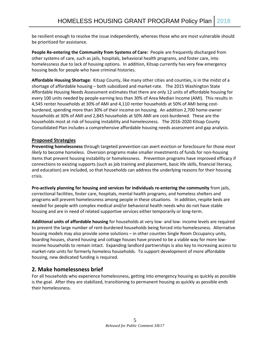be resilient enough to resolve the issue independently, whereas those who are most vulnerable should be prioritized for assistance.

**People Re-entering the Community from Systems of Care:** People are frequently discharged from other systems of care, such as jails, hospitals, behavioral health programs, and foster care, into homelessness due to lack of housing options. In addition, Kitsap currently has very few emergency housing beds for people who have criminal histories.

**Affordable Housing Shortage:** Kitsap County, like many other cities and counties, is in the midst of a shortage of affordable housing – both subsidized and market-rate. The 2015 Washington State Affordable Housing Needs Assessment estimates that there are only 12 units of affordable housing for every 100 units needed by people earning less than 30% of Area Median Income (AMI). This results in 4,545 renter households at 30% of AMI and 4,110 renter households at 50% of AMI being costburdened, spending more than 30% of their income on housing. An addition 2,700 home-owner households at 30% of AMI and 2,845 households at 50% AMI are cost-burdened. These are the households most at risk of housing instability and homelessness. The 2016-2020 Kitsap County Consolidated Plan includes a comprehensive affordable housing needs assessment and gap analysis.

#### **Proposed Strategies**

**Preventing homelessness** through targeted prevention can avert eviction or foreclosure for those *most likely* to become homeless. Diversion programs make smaller investments of funds for non-housing items that prevent housing instability or homelessness. Prevention programs have improved efficacy if connections to existing supports (such as job training and placement, basic life skills, financial literacy, and education) are included, so that households can address the underlying reasons for their housing crisis.

**Pro-actively planning for housing and services for individuals re-entering the community** from jails, correctional facilities, foster care, hospitals, mental health programs, and homeless shelters and programs will prevent homelessness among people in these situations. In addition, respite beds are needed for people with complex medical and/or behavioral health needs who do not have stable housing and are in need of related supportive services either temporarily or long-term.

**Additional units of affordable housing** for households at very low- and low- income levels are required to prevent the large number of rent-burdened households being forced into homelessness. Alternative housing models may also provide some solutions – in other counties Single Room Occupancy units, boarding houses, shared housing and cottage houses have proved to be a viable way for more lowincome households to remain intact. Expanding landlord partnerships is also key to increasing access to market-rate units for formerly homeless households. To support development of more affordable housing, new dedicated funding is required.

#### **2. Make homelessness brief**

For all households who experience homelessness, getting into emergency housing as quickly as possible is the goal. After they are stabilized, transitioning to permanent housing as quickly as possible ends their homelessness.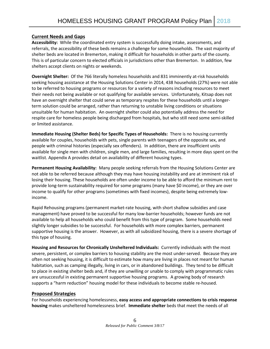#### **Current Needs and Gaps**

**Accessibility:** While the coordinated entry system is successfully doing intake, assessments, and referrals, the accessibility of these beds remains a challenge for some households. The vast majority of shelter beds are located in Bremerton, making it difficult for households in other parts of the county. This is of particular concern to elected officials in jurisdictions other than Bremerton. In addition, few shelters accept clients on nights or weekends.

**Overnight Shelter:** Of the 766 literally homeless households and 831 imminently at-risk households seeking housing assistance at the Housing Solutions Center in 2014, 438 households (27%) were not able to be referred to housing programs or resources for a variety of reasons including resources to meet their needs not being available or not qualifying for available services. Unfortunately, Kitsap does not have an overnight shelter that could serve as temporary respites for these households until a longerterm solution could be arranged, rather than returning to unstable living conditions or situations unsuitable for human habitation. An overnight shelter could also potentially address the need for respite care for homeless people being discharged from hospitals, but who still need some semi-skilled or limited assistance.

**Immediate Housing (Shelter Beds) for Specific Types of Households:** There is no housing currently available for couples, households with pets, single parents with teenagers of the opposite sex, and people with criminal histories (especially sex offenders). In addition, there are insufficient units available for single men with children, single men, and large families, resulting in more days spent on the waitlist. Appendix A provides detail on availability of different housing types.

**Permanent Housing Availability:** Many people seeking referrals from the Housing Solutions Center are not able to be referred because although they may have housing instability and are at imminent risk of losing their housing. These households are often under income to be able to afford the minimum rent to provide long-term sustainability required for some programs (many have \$0 income), or they are over income to qualify for other programs (sometimes with fixed incomes), despite being extremely lowincome.

Rapid Rehousing programs (permanent market-rate housing, with short shallow subsidies and case management) have proved to be successful for many low-barrier households; however funds are not available to help all households who could benefit from this type of program. Some households need slightly longer subsidies to be successful. For households with more complex barriers, permanent supportive housing is the answer. However, as with all subsidized housing, there is a severe shortage of this type of housing.

**Housing and Resources for Chronically Unsheltered Individuals:** Currently individuals with the most severe, persistent, or complex barriers to housing stability are the most under-served. Because they are often not seeking housing, it is difficult to estimate how many are living in places not meant for human habitation, such as camping illegally, living in cars, or in abandoned buildings. They tend to be difficult to place in existing shelter beds and, if they are unwilling or unable to comply with programmatic rules are unsuccessful in existing permanent supportive housing programs. A growing body of research supports a "harm reduction" housing model for these individuals to become stable re-housed.

#### **Proposed Strategies**

For households experiencing homelessness, **easy access and appropriate connections to crisis response housing** makes unsheltered homelessness brief. **Immediate shelter** beds that meet the needs of all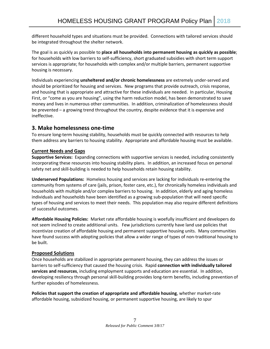different household types and situations must be provided. Connections with tailored services should be integrated throughout the shelter network.

The goal is as quickly as possible to **place all households into permanent housing as quickly as possible**; for households with low barriers to self-sufficiency, short graduated subsidies with short term support services is appropriate; for households with complex and/or multiple barriers, permanent supportive housing is necessary.

Individuals experiencing **unsheltered and/or chronic homelessness** are extremely under-served and should be prioritized for housing and services. New programs that provide outreach, crisis response, and housing that is appropriate and attractive for these individuals are needed. In particular, Housing First, or "come as you are housing", using the harm reduction model, has been demonstrated to save money and lives in numerous other communities. In addition, criminalization of homelessness should be prevented – a growing trend throughout the country, despite evidence that it is expensive and ineffective.

#### **3. Make homelessness one-time**

To ensure long-term housing stability, households must be quickly connected with resources to help them address any barriers to housing stability. Appropriate and affordable housing must be available.

#### **Current Needs and Gaps**

**Supportive Services:** Expanding connections with supportive services is needed, including consistently incorporating these resources into housing stability plans. In addition, an increased focus on personal safety net and skill-building is needed to help households retain housing stability.

**Underserved Populations:** Homeless housing and services are lacking for individuals re-entering the community from systems of care (jails, prison, foster care, etc.), for chronically homeless individuals and households with multiple and/or complex barriers to housing. In addition, elderly and aging homeless individuals and households have been identified as a growing sub-population that will need specific types of housing and services to meet their needs. This population may also require different definitions of successful outcomes.

**Affordable Housing Policies:** Market rate affordable housing is woefully insufficient and developers do not seem inclined to create additional units. Few jurisdictions currently have land use policies that incentivize creation of affordable housing and permanent supportive housing units. Many communities have found success with adopting policies that allow a wider range of types of non-traditional housing to be built.

#### **Proposed Solutions**

Once households are stabilized in appropriate permanent housing, they can address the issues or barriers to self-sufficiency that caused the housing crisis. Rapid **connection with individually tailored services and resources**, including employment supports and education are essential. In addition, developing resiliency through personal skill-building provides long-term benefits, including prevention of further episodes of homelessness.

**Policies that support the creation of appropriate and affordable housing**, whether market-rate affordable housing, subsidized housing, or permanent supportive housing, are likely to spur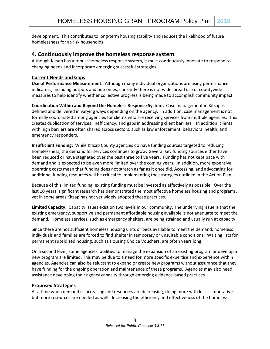development. This contributes to long-term housing stability and reduces the likelihood of future homelessness for at-risk households.

#### **4. Continuously improve the homeless response system**

Although Kitsap has a robust homeless response system, it must continuously innovate to respond to changing needs and incorporate emerging successful strategies.

#### **Current Needs and Gaps**

**Use of Performance Measurement:** Although many individual organizations are using performance indicators, including outputs and outcomes, currently there is not widespread use of countywide measures to help identify whether collective progress is being made to accomplish community impact.

**Coordination Within and Beyond the Homeless Response System:** Case management in Kitsap is defined and delivered in varying ways depending on the agency. In addition, case management is not formally coordinated among agencies for clients who are receiving services from multiple agencies. This creates duplication of services, inefficiency, and gaps in addressing client barriers. In addition, clients with high barriers are often shared across sectors, such as law enforcement, behavioral health, and emergency responders.

**Insufficient Funding:** While Kitsap County agencies do have funding sources targeted to reducing homelessness, the demand for services continues to grow. Several key funding sources either have been reduced or have stagnated over the past three to five years. Funding has not kept pace with demand and is expected to be even more limited over the coming years. In addition, more expensive operating costs mean that funding does not stretch as far as it once did. Accessing, and advocating for, additional funding resources will be critical to implementing the strategies outlined in the Action Plan.

Because of this limited funding, existing funding must be invested as effectively as possible. Over the last 10 years, significant research has demonstrated the most effective homeless housing and programs, yet in some areas Kitsap has not yet widely adopted these practices.

**Limited Capacity:** Capacity issues exist on two levels in our community. The underlying issue is that the existing emergency, supportive and permanent affordable housing available is not adequate to meet the demand. Homeless services, such as emergency shelters, are being strained and usually run at capacity.

Since there are not sufficient homeless housing units or beds available to meet the demand, homeless individuals and families are forced to find shelter in temporary or unsuitable conditions. Waiting lists for permanent subsidized housing, such as Housing Choice Vouchers, are often years long.

On a second level, some agencies' abilities to manage the expansion of an existing program or develop a new program are limited. This may be due to a need for more specific expertise and experience within agencies. Agencies can also be reluctant to expand or create new programs without assurance that they have funding for the ongoing operation and maintenance of these programs. Agencies may also need assistance developing their agency capacity through emerging evidence-based practices.

#### **Proposed Strategies**

At a time when demand is increasing and resources are decreasing, doing more with less is imperative, but more resources are needed as well. Increasing the efficiency and effectiveness of the homeless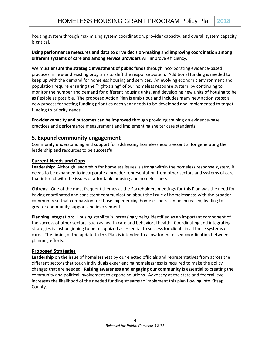housing system through maximizing system coordination, provider capacity, and overall system capacity is critical.

#### **Using performance measures and data to drive decision-making** and i**mproving coordination among different systems of care and among service providers** will improve efficiency.

We must **ensure the strategic investment of public funds** through incorporating evidence-based practices in new and existing programs to shift the response system. Additional funding is needed to keep up with the demand for homeless housing and services. An evolving economic environment and population require ensuring the "right-sizing" of our homeless response system, by continuing to monitor the number and demand for different housing units, and developing new units of housing to be as flexible as possible. The proposed Action Plan is ambitious and includes many new action steps; a new process for setting funding priorities each year needs to be developed and implemented to target funding to priority needs.

**Provider capacity and outcomes can be improved** through providing training on evidence-base practices and performance measurement and implementing shelter care standards.

#### **5. Expand community engagement**

Community understanding and support for addressing homelessness is essential for generating the leadership and resources to be successful.

#### **Current Needs and Gaps**

**Leadership:** Although leadership for homeless issues is strong within the homeless response system, it needs to be expanded to incorporate a broader representation from other sectors and systems of care that interact with the issues of affordable housing and homelessness.

**Citizens:** One of the most frequent themes at the Stakeholders meetings for this Plan was the need for having coordinated and consistent communication about the issue of homelessness with the broader community so that compassion for those experiencing homelessness can be increased, leading to greater community support and involvement.

**Planning Integration:** Housing stability is increasingly being identified as an important component of the success of other sectors, such as health care and behavioral health. Coordinating and integrating strategies is just beginning to be recognized as essential to success for clients in all these systems of care. The timing of the update to this Plan is intended to allow for increased coordination between planning efforts.

#### **Proposed Strategies**

**Leadership** on the issue of homelessness by our elected officials and representatives from across the different sectors that touch individuals experiencing homelessness is required to make the policy changes that are needed. **Raising awareness and engaging our community** is essential to creating the community and political involvement to expand solutions. Advocacy at the state and federal level increases the likelihood of the needed funding streams to implement this plan flowing into Kitsap County.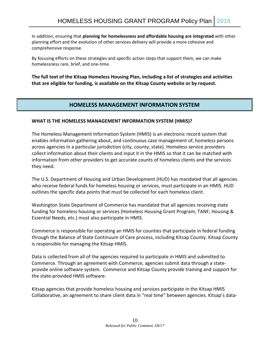In addition, ensuring that **planning for homelessness and affordable housing are integrated** with other planning effort and the evolution of other services delivery will provide a more cohesive and comprehensive response.

By focusing efforts on these strategies and specific action steps that support them, we can make homelessness rare, brief, and one-time.

**The full text of the Kitsap Homeless Housing Plan, including a list of strategies and activities that are eligible for funding, is available on the Kitsap County website or by request.**

#### **HOMELESS MANAGEMENT INFORMATION SYSTEM**

#### **WHAT IS THE HOMELESS MANAGEMENT INFORMATION SYSTEM (HMIS)?**

The Homeless Management Information System (HMIS) is an electronic record system that enables information gathering about, and continuous case management of, homeless persons across agencies in a particular jurisdiction (city, county, state). Homeless service providers collect information about their clients and input it in the HMIS so that it can be matched with information from other providers to get accurate counts of homeless clients and the services they need.

The U.S. Department of Housing and Urban Development (HUD) has mandated that all agencies who receive federal funds for homeless housing or services, must participate in an HMIS. HUD outlines the specific data points that must be collected for each homeless client.

Washington State Department of Commerce has mandated that all agencies receiving state funding for homeless housing or services (Homeless Housing Grant Program, TANF, Housing & Essential Needs, etc.) must also participate in HMIS.

Commerce is responsible for operating an HMIS for counties that participate in federal funding through the Balance of State Continuum of Care process, including Kitsap County. Kitsap County is responsible for managing the Kitsap HMIS.

Data is collected from all of the agencies required to participate in HMIS and submitted to Commerce. Through an agreement with Commerce, agencies submit data through a stateprovide online software system. Commerce and Kitsap County provide training and support for the state-provided HMIS software.

Kitsap agencies that provide homeless housing and services participate in the Kitsap HMIS Collaborative, an agreement to share client data in "real time" between agencies. Kitsap's data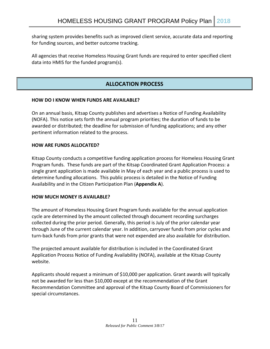sharing system provides benefits such as improved client service, accurate data and reporting for funding sources, and better outcome tracking.

All agencies that receive Homeless Housing Grant funds are required to enter specified client data into HMIS for the funded program(s).

### **ALLOCATION PROCESS**

#### **HOW DO I KNOW WHEN FUNDS ARE AVAILABLE?**

On an annual basis, Kitsap County publishes and advertises a Notice of Funding Availability (NOFA). This notice sets forth the annual program priorities; the duration of funds to be awarded or distributed; the deadline for submission of funding applications; and any other pertinent information related to the process.

#### **HOW ARE FUNDS ALLOCATED?**

Kitsap County conducts a competitive funding application process for Homeless Housing Grant Program funds. These funds are part of the Kitsap Coordinated Grant Application Process: a single grant application is made available in May of each year and a public process is used to determine funding allocations. This public process is detailed in the Notice of Funding Availability and in the Citizen Participation Plan (**Appendix A**).

#### **HOW MUCH MONEY IS AVAILABLE?**

The amount of Homeless Housing Grant Program funds available for the annual application cycle are determined by the amount collected through document recording surcharges collected during the prior period. Generally, this period is July of the prior calendar year through June of the current calendar year. In addition, carryover funds from prior cycles and turn-back funds from prior grants that were not expended are also available for distribution.

The projected amount available for distribution is included in the Coordinated Grant Application Process Notice of Funding Availability (NOFA), available at the Kitsap County website.

Applicants should request a minimum of \$10,000 per application. Grant awards will typically not be awarded for less than \$10,000 except at the recommendation of the Grant Recommendation Committee and approval of the Kitsap County Board of Commissioners for special circumstances.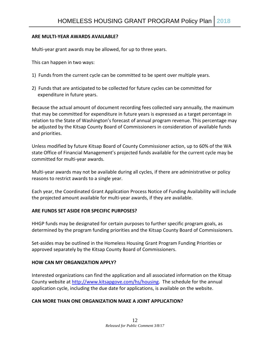#### **ARE MULTI-YEAR AWARDS AVAILABLE?**

Multi-year grant awards may be allowed, for up to three years.

This can happen in two ways:

- 1) Funds from the current cycle can be committed to be spent over multiple years.
- 2) Funds that are anticipated to be collected for future cycles can be committed for expenditure in future years.

Because the actual amount of document recording fees collected vary annually, the maximum that may be committed for expenditure in future years is expressed as a target percentage in relation to the State of Washington's forecast of annual program revenue. This percentage may be adjusted by the Kitsap County Board of Commissioners in consideration of available funds and priorities.

Unless modified by future Kitsap Board of County Commissioner action, up to 60% of the WA state Office of Financial Management's projected funds available for the current cycle may be committed for multi-year awards.

Multi-year awards may not be available during all cycles, if there are administrative or policy reasons to restrict awards to a single year.

Each year, the Coordinated Grant Application Process Notice of Funding Availability will include the projected amount available for multi-year awards, if they are available.

#### **ARE FUNDS SET ASIDE FOR SPECIFIC PURPOSES?**

HHGP funds may be designated for certain purposes to further specific program goals, as determined by the program funding priorities and the Kitsap County Board of Commissioners.

Set-asides may be outlined in the Homeless Housing Grant Program Funding Priorities or approved separately by the Kitsap County Board of Commissioners.

#### **HOW CAN MY ORGANIZATION APPLY?**

Interested organizations can find the application and all associated information on the Kitsap County website at [http://www.kitsapgove.com/hs/housing.](http://www.kitsapgove.com/hs/housing) The schedule for the annual application cycle, including the due date for applications, is available on the website.

#### **CAN MORE THAN ONE ORGANIZATION MAKE A JOINT APPLICATION?**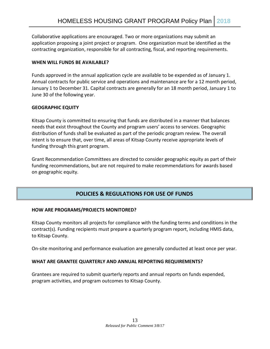Collaborative applications are encouraged. Two or more organizations may submit an application proposing a joint project or program. One organization must be identified as the contracting organization, responsible for all contracting, fiscal, and reporting requirements.

#### **WHEN WILL FUNDS BE AVAILABLE?**

Funds approved in the annual application cycle are available to be expended as of January 1. Annual contracts for public service and operations and maintenance are for a 12 month period, January 1 to December 31. Capital contracts are generally for an 18 month period, January 1 to June 30 of the following year.

#### **GEOGRAPHIC EQUITY**

Kitsap County is committed to ensuring that funds are distributed in a manner that balances needs that exist throughout the County and program users' access to services. Geographic distribution of funds shall be evaluated as part of the periodic program review. The overall intent is to ensure that, over time, all areas of Kitsap County receive appropriate levels of funding through this grant program.

Grant Recommendation Committees are directed to consider geographic equity as part of their funding recommendations, but are not required to make recommendations for awards based on geographic equity.

### **POLICIES & REGULATIONS FOR USE OF FUNDS**

#### **HOW ARE PROGRAMS/PROJECTS MONITORED?**

Kitsap County monitors all projects for compliance with the funding terms and conditions in the contract(s). Funding recipients must prepare a quarterly program report, including HMIS data, to Kitsap County.

On-site monitoring and performance evaluation are generally conducted at least once per year.

#### **WHAT ARE GRANTEE QUARTERLY AND ANNUAL REPORTING REQUIREMENTS?**

Grantees are required to submit quarterly reports and annual reports on funds expended, program activities, and program outcomes to Kitsap County.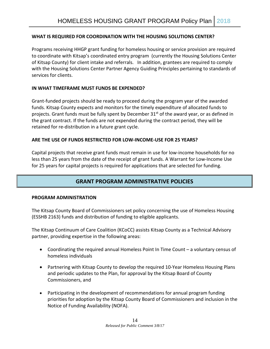#### **WHAT IS REQUIRED FOR COORDINATION WITH THE HOUSING SOLUTIONS CENTER?**

Programs receiving HHGP grant funding for homeless housing or service provision are required to coordinate with Kitsap's coordinated entry program (currently the Housing Solutions Center of Kitsap County) for client intake and referrals. In addition, grantees are required to comply with the Housing Solutions Center Partner Agency Guiding Principles pertaining to standards of services for clients.

#### **IN WHAT TIMEFRAME MUST FUNDS BE EXPENDED?**

Grant-funded projects should be ready to proceed during the program year of the awarded funds. Kitsap County expects and monitors for the timely expenditure of allocated funds to projects. Grant funds must be fully spent by December  $31<sup>st</sup>$  of the award year, or as defined in the grant contract. If the funds are not expended during the contract period, they will be retained for re-distribution in a future grant cycle.

#### **ARE THE USE OF FUNDS RESTRICTED FOR LOW-INCOME-USE FOR 25 YEARS?**

Capital projects that receive grant funds must remain in use for low-income households for no less than 25 years from the date of the receipt of grant funds. A Warrant for Low-Income Use for 25 years for capital projects is required for applications that are selected for funding.

#### **GRANT PROGRAM ADMINISTRATIVE POLICIES**

#### **PROGRAM ADMINISTRATION**

The Kitsap County Board of Commissioners set policy concerning the use of Homeless Housing (ESSHB 2163) funds and distribution of funding to eligible applicants.

The Kitsap Continuum of Care Coalition (KCoCC) assists Kitsap County as a Technical Advisory partner, providing expertise in the following areas:

- Coordinating the required annual Homeless Point In Time Count a voluntary census of homeless individuals
- Partnering with Kitsap County to develop the required 10-Year Homeless Housing Plans and periodic updates to the Plan, for approval by the Kitsap Board of County Commissioners, and
- Participating in the development of recommendations for annual program funding priorities for adoption by the Kitsap County Board of Commissioners and inclusion in the Notice of Funding Availability (NOFA).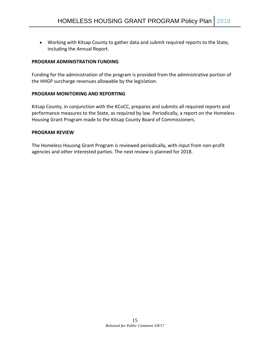• Working with Kitsap County to gather data and submit required reports to the State, including the Annual Report.

#### **PROGRAM ADMINISTRATION FUNDING**

Funding for the administration of the program is provided from the administrative portion of the HHGP surcharge revenues allowable by the legislation.

#### **PROGRAM MONITORING AND REPORTING**

Kitsap County, in conjunction with the KCoCC, prepares and submits all required reports and performance measures to the State, as required by law. Periodically, a report on the Homeless Housing Grant Program made to the Kitsap County Board of Commissioners.

#### **PROGRAM REVIEW**

The Homeless Housing Grant Program is reviewed periodically, with input from non-profit agencies and other interested parties. The next review is planned for 2018.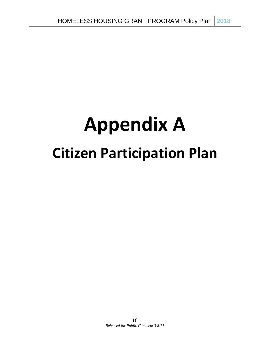# **Appendix A Citizen Participation Plan**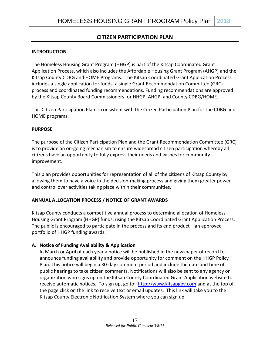#### **CITIZEN PARTICIPATION PLAN**

#### **INTRODUCTION**

The Homeless Housing Grant Program (HHGP) is part of the Kitsap Coordinated Grant Application Process, which also includes the Affordable Housing Grant Program (AHGP) and the Kitsap County CDBG and HOME Programs. The Kitsap Coordinated Grant Application Process includes a single application for funds, a single Grant Recommendation Committee (GRC) process and coordinated funding recommendations. Funding recommendations are approved by the Kitsap County Board Commissioners for HHGP, AHGP, and County CDBG/HOME.

This Citizen Participation Plan is consistent with the Citizen Participation Plan for the CDBG and HOME programs.

#### **PURPOSE**

The purpose of the Citizen Participation Plan and the Grant Recommendation Committee (GRC) is to provide an on-going mechanism to ensure widespread citizen participation whereby all citizens have an opportunity to fully express their needs and wishes for community improvement.

This plan provides opportunities for representation of all of the citizens of Kitsap County by allowing them to have a voice in the decision-making process and giving them greater power and control over activities taking place within their communities.

#### **ANNUAL ALLOCATION PROCESS / NOTICE OF GRANT AWARDS**

Kitsap County conducts a competitive annual process to determine allocation of Homeless Housing Grant Program (HHGP) funds, using the Kitsap Coordinated Grant Application Process. The public is encouraged to participate in the process and its end product – an approved portfolio of HHGP funding awards.

#### **A. Notice of Funding Availability & Application**

In March or April of each year a notice will be published in the newspaper of record to announce funding availability and provide opportunity for comment on the HHGP Policy Plan. This notice will begin a 30-day comment period and include the date and time of public hearings to take citizen comments. Notifications will also be sent to any agency or organization who signs up on the Kitsap County Coordinated Grant Application website to receive automatic notices. To sign up, go to: [http://www.kitsapgov.com](http://www.kitsapgov.com/hs/housing) and at the top of the page click on the link to receive text or email updates. This link will take you to the Kitsap County Electronic Notification System where you can sign up.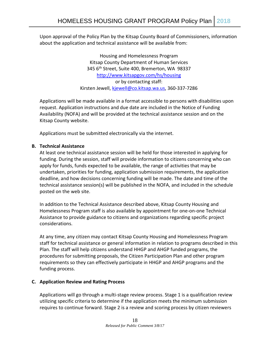Upon approval of the Policy Plan by the Kitsap County Board of Commissioners, information about the application and technical assistance will be available from:

> Housing and Homelessness Program Kitsap County Department of Human Services 345 6th Street, Suite 400, Bremerton, WA 98337 <http://www.kitsapgov.com/hs/housing> or by contacting staff: Kirsten Jewell, [kjewell@co.kitsap.wa.us,](mailto:kjewell@co.kitsap.wa.us) 360-337-7286

Applications will be made available in a format accessible to persons with disabilities upon request. Application instructions and due date are included in the Notice of Funding Availability (NOFA) and will be provided at the technical assistance session and on the Kitsap County website.

Applications must be submitted electronically via the internet.

#### **B. Technical Assistance**

At least one technical assistance session will be held for those interested in applying for funding. During the session, staff will provide information to citizens concerning who can apply for funds, funds expected to be available, the range of activities that may be undertaken, priorities for funding, application submission requirements, the application deadline, and how decisions concerning funding will be made. The date and time of the technical assistance session(s) will be published in the NOFA, and included in the schedule posted on the web site.

In addition to the Technical Assistance described above, Kitsap County Housing and Homelessness Program staff is also available by appointment for one-on-one Technical Assistance to provide guidance to citizens and organizations regarding specific project considerations.

At any time, any citizen may contact Kitsap County Housing and Homelessness Program staff for technical assistance or general information in relation to programs described in this Plan. The staff will help citizens understand HHGP and AHGP funded programs, the procedures for submitting proposals, the Citizen Participation Plan and other program requirements so they can effectively participate in HHGP and AHGP programs and the funding process.

#### **C. Application Review and Rating Process**

Applications will go through a multi-stage review process. Stage 1 is a qualification review utilizing specific criteria to determine if the application meets the minimum submission requires to continue forward. Stage 2 is a review and scoring process by citizen reviewers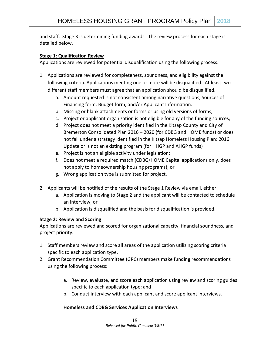and staff. Stage 3 is determining funding awards. The review process for each stage is detailed below.

#### **Stage 1: Qualification Review**

Applications are reviewed for potential disqualification using the following process:

- 1. Applications are reviewed for completeness, soundness, and eligibility against the following criteria. Applications meeting one or more will be disqualified. At least two different staff members must agree that an application should be disqualified.
	- a. Amount requested is not consistent among narrative questions, Sources of Financing form, Budget form, and/or Applicant Information.
	- b. Missing or blank attachments or forms or using old versions of forms;
	- c. Project or applicant organization is not eligible for any of the funding sources;
	- d. Project does not meet a priority identified in the Kitsap County and City of Bremerton Consolidated Plan 2016 – 2020 (for CDBG and HOME funds) or does not fall under a strategy identified in the Kitsap Homeless Housing Plan: 2016 Update or is not an existing program (for HHGP and AHGP funds)
	- e. Project is not an eligible activity under legislation;
	- f. Does not meet a required match (CDBG/HOME Capital applications only, does not apply to homeownership housing programs); or
	- g. Wrong application type is submitted for project.
- 2. Applicants will be notified of the results of the Stage 1 Review via email, either:
	- a. Application is moving to Stage 2 and the applicant will be contacted to schedule an interview; or
	- b. Application is disqualified and the basis for disqualification is provided.

#### **Stage 2: Review and Scoring**

Applications are reviewed and scored for organizational capacity, financial soundness, and project priority.

- 1. Staff members review and score all areas of the application utilizing scoring criteria specific to each application type.
- 2. Grant Recommendation Committee (GRC) members make funding recommendations using the following process:
	- a. Review, evaluate, and score each application using review and scoring guides specific to each application type; and
	- b. Conduct interview with each applicant and score applicant interviews.

#### **Homeless and CDBG Services Application Interviews**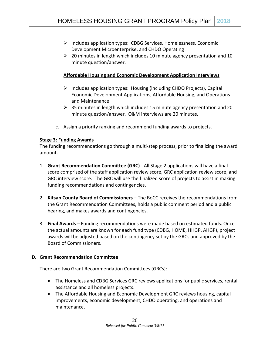- $\triangleright$  Includes application types: CDBG Services, Homelessness, Economic Development Microenterprise, and CHDO Operating
- $\geq 20$  minutes in length which includes 10 minute agency presentation and 10 minute question/answer.

#### **Affordable Housing and Economic Development Application Interviews**

- $\triangleright$  Includes application types: Housing (including CHDO Projects), Capital Economic Development Applications, Affordable Housing, and Operations and Maintenance
- $\geq$  35 minutes in length which includes 15 minute agency presentation and 20 minute question/answer. O&M interviews are 20 minutes.
- c. Assign a priority ranking and recommend funding awards to projects.

#### **Stage 3: Funding Awards**

The funding recommendations go through a multi-step process, prior to finalizing the award amount.

- 1. **Grant Recommendation Committee (GRC)**  All Stage 2 applications will have a final score comprised of the staff application review score, GRC application review score, and GRC interview score. The GRC will use the finalized score of projects to assist in making funding recommendations and contingencies.
- 2. **Kitsap County Board of Commissioners** The BoCC receives the recommendations from the Grant Recommendation Committees, holds a public comment period and a public hearing, and makes awards and contingencies.
- 3. **Final Awards** Funding recommendations were made based on estimated funds. Once the actual amounts are known for each fund type (CDBG, HOME, HHGP, AHGP), project awards will be adjusted based on the contingency set by the GRCs and approved by the Board of Commissioners.

#### **D. Grant Recommendation Committee**

There are two Grant Recommendation Committees (GRCs):

- The Homeless and CDBG Services GRC reviews applications for public services, rental assistance and all homeless projects.
- The Affordable Housing and Economic Development GRC reviews housing, capital improvements, economic development, CHDO operating, and operations and maintenance.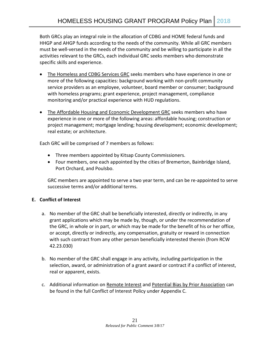Both GRCs play an integral role in the allocation of CDBG and HOME federal funds and HHGP and AHGP funds according to the needs of the community. While all GRC members must be well-versed in the needs of the community and be willing to participate in all the activities relevant to the GRCs, each individual GRC seeks members who demonstrate specific skills and experience.

- The Homeless and CDBG Services GRC seeks members who have experience in one or more of the following capacities: background working with non-profit community service providers as an employee, volunteer, board member or consumer; background with homeless programs; grant experience, project management, compliance monitoring and/or practical experience with HUD regulations.
- The Affordable Housing and Economic Development GRC seeks members who have experience in one or more of the following areas: affordable housing; construction or project management; mortgage lending; housing development; economic development; real estate; or architecture.

Each GRC will be comprised of 7 members as follows:

- Three members appointed by Kitsap County Commissioners.
- Four members, one each appointed by the cities of Bremerton, Bainbridge Island, Port Orchard, and Poulsbo.

GRC members are appointed to serve a two year term, and can be re-appointed to serve successive terms and/or additional terms.

#### **E. Conflict of Interest**

- a. No member of the GRC shall be beneficially interested, directly or indirectly, in any grant applications which may be made by, though, or under the recommendation of the GRC, in whole or in part, or which may be made for the benefit of his or her office, or accept, directly or indirectly, any compensation, gratuity or reward in connection with such contract from any other person beneficially interested therein (from RCW 42.23.030)
- b. No member of the GRC shall engage in any activity, including participation in the selection, award, or administration of a grant award or contract if a conflict of interest, real or apparent, exists.
- c. Additional information on Remote Interest and Potential Bias by Prior Association can be found in the full Conflict of Interest Policy under Appendix C.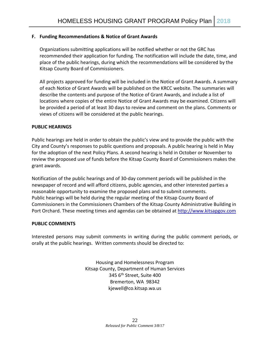#### **F. Funding Recommendations & Notice of Grant Awards**

Organizations submitting applications will be notified whether or not the GRC has recommended their application for funding. The notification will include the date, time, and place of the public hearings, during which the recommendations will be considered by the Kitsap County Board of Commissioners.

All projects approved for funding will be included in the Notice of Grant Awards. A summary of each Notice of Grant Awards will be published on the KRCC website. The summaries will describe the contents and purpose of the Notice of Grant Awards, and include a list of locations where copies of the entire Notice of Grant Awards may be examined. Citizens will be provided a period of at least 30 days to review and comment on the plans. Comments or views of citizens will be considered at the public hearings.

#### **PUBLIC HEARINGS**

Public hearings are held in order to obtain the public's view and to provide the public with the City and County's responses to public questions and proposals. A public hearing is held in May for the adoption of the next Policy Plans. A second hearing is held in October or November to review the proposed use of funds before the Kitsap County Board of Commissioners makes the grant awards.

Notification of the public hearings and of 30-day comment periods will be published in the newspaper of record and will afford citizens, public agencies, and other interested parties a reasonable opportunity to examine the proposed plans and to submit comments. Public hearings will be held during the regular meeting of the Kitsap County Board of Commissioners in the Commissioners Chambers of the Kitsap County Administrative Building in Port Orchard. These meeting times and agendas can be obtained at [http://www.kitsapgov.com](http://www.kitsapgov.com/)

#### **PUBLIC COMMENTS**

Interested persons may submit comments in writing during the public comment periods, or orally at the public hearings. Written comments should be directed to:

> Housing and Homelessness Program Kitsap County, Department of Human Services 345 6th Street, Suite 400 Bremerton, WA 98342 kjewell@co.kitsap.wa.us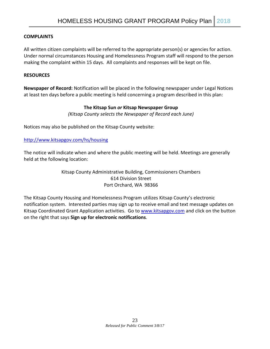#### **COMPLAINTS**

All written citizen complaints will be referred to the appropriate person(s) or agencies for action. Under normal circumstances Housing and Homelessness Program staff will respond to the person making the complaint within 15 days. All complaints and responses will be kept on file.

#### **RESOURCES**

**Newspaper of Record:** Notification will be placed in the following newspaper under Legal Notices at least ten days before a public meeting is held concerning a program described in this plan:

#### **The Kitsap Sun** *or* **Kitsap Newspaper Group**

*(Kitsap County selects the Newspaper of Record each June)*

Notices may also be published on the Kitsap County website:

#### <http://www.kitsapgov.com/hs/housing>

The notice will indicate when and where the public meeting will be held. Meetings are generally held at the following location:

> Kitsap County Administrative Building, Commissioners Chambers 614 Division Street Port Orchard, WA 98366

The Kitsap County Housing and Homelessness Program utilizes Kitsap County's electronic notification system. Interested parties may sign up to receive email and text message updates on Kitsap Coordinated Grant Application activities. Go t[o www.kitsapgov.com](http://www.kitsapgov.com/) and click on the button on the right that says **Sign up for electronic notifications**.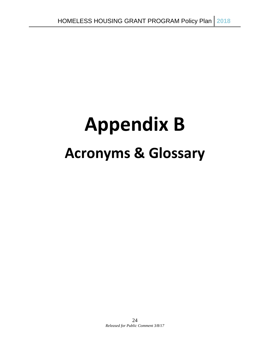# **Appendix B Acronyms & Glossary**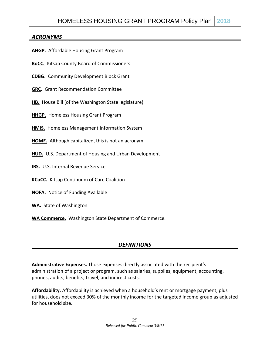#### *ACRONYMS*

- **AHGP.** Affordable Housing Grant Program
- **BoCC.** Kitsap County Board of Commissioners
- **CDBG.** Community Development Block Grant
- **GRC.** Grant Recommendation Committee
- **HB.** House Bill (of the Washington State legislature)
- **HHGP.** Homeless Housing Grant Program
- **HMIS.** Homeless Management Information System
- **HOME.** Although capitalized, this is not an acronym.
- **HUD.** U.S. Department of Housing and Urban Development
- **IRS.** U.S. Internal Revenue Service
- **KCoCC.** Kitsap Continuum of Care Coalition
- **NOFA.** Notice of Funding Available
- **WA.** State of Washington
- **WA Commerce.** Washington State Department of Commerce.

#### *DEFINITIONS*

**Administrative Expenses.** Those expenses directly associated with the recipient's administration of a project or program, such as salaries, supplies, equipment, accounting, phones, audits, benefits, travel, and indirect costs.

**Affordability.** Affordability is achieved when a household's rent or mortgage payment, plus utilities, does not exceed 30% of the monthly income for the targeted income group as adjusted for household size.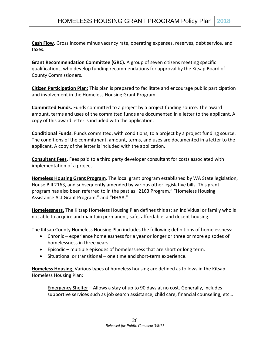**Cash Flow.** Gross income minus vacancy rate, operating expenses, reserves, debt service, and taxes.

**Grant Recommendation Committee (GRC).** A group of seven citizens meeting specific qualifications, who develop funding recommendations for approval by the Kitsap Board of County Commissioners.

**Citizen Participation Plan:** This plan is prepared to facilitate and encourage public participation and involvement in the Homeless Housing Grant Program.

**Committed Funds.** Funds committed to a project by a project funding source. The award amount, terms and uses of the committed funds are documented in a letter to the applicant. A copy of this award letter is included with the application.

**Conditional Funds.** Funds committed, with conditions, to a project by a project funding source. The conditions of the commitment, amount, terms, and uses are documented in a letter to the applicant. A copy of the letter is included with the application.

**Consultant Fees.** Fees paid to a third party developer consultant for costs associated with implementation of a project.

**Homeless Housing Grant Program.** The local grant program established by WA State legislation, House Bill 2163, and subsequently amended by various other legislative bills. This grant program has also been referred to in the past as "2163 Program," "Homeless Housing Assistance Act Grant Program," and "HHAA."

**Homelessness.** The Kitsap Homeless Housing Plan defines this as: an individual or family who is not able to acquire and maintain permanent, safe, affordable, and decent housing.

The Kitsap County Homeless Housing Plan includes the following definitions of homelessness:

- Chronic experience homelessness for a year or longer or three or more episodes of homelessness in three years.
- Episodic multiple episodes of homelessness that are short or long term.
- Situational or transitional one time and short-term experience.

**Homeless Housing.** Various types of homeless housing are defined as follows in the Kitsap Homeless Housing Plan:

Emergency Shelter – Allows a stay of up to 90 days at no cost. Generally, includes supportive services such as job search assistance, child care, financial counseling, etc…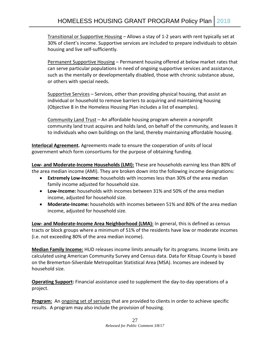Transitional or Supportive Housing – Allows a stay of 1-2 years with rent typically set at 30% of client's income. Supportive services are included to prepare individuals to obtain housing and live self-sufficiently.

Permanent Supportive Housing – Permanent housing offered at below market rates that can serve particular populations in need of ongoing supportive services and assistance, such as the mentally or developmentally disabled, those with chronic substance abuse, or others with special needs.

Supportive Services - Services, other than providing physical housing, that assist an individual or household to remove barriers to acquiring and maintaining housing (Objective 8 in the Homeless Housing Plan includes a list of examples).

Community Land Trust – An affordable housing program wherein a nonprofit community land trust acquires and holds land, on behalf of the community, and leases it to individuals who own buildings on the land, thereby maintaining affordable housing.

**Interlocal Agreement.** Agreements made to ensure the cooperation of units of local government which form consortiums for the purpose of obtaining funding.

**Low- and Moderate-Income Households (LMI):** These are households earning less than 80% of the area median income (AMI). They are broken down into the following income designations:

- **Extremely Low-Income:** households with incomes less than 30% of the area median family income adjusted for household size.
- **Low-Income:** households with incomes between 31% and 50% of the area median income, adjusted for household size.
- **Moderate-Income:** households with incomes between 51% and 80% of the area median income, adjusted for household size.

**Low- and Moderate-Income Area Neighborhood (LMA):** In general, this is defined as census tracts or block groups where a minimum of 51% of the residents have low or moderate incomes (i.e. not exceeding 80% of the area median income).

**Median Family Income:** HUD releases income limits annually for its programs. Income limits are calculated using American Community Survey and Census data. Data for Kitsap County is based on the Bremerton-Silverdale Metropolitan Statistical Area (MSA). Incomes are indexed by household size.

**Operating Support:** Financial assistance used to supplement the day-to-day operations of a project.

**Program:** An ongoing set of services that are provided to clients in order to achieve specific results. A program may also include the provision of housing.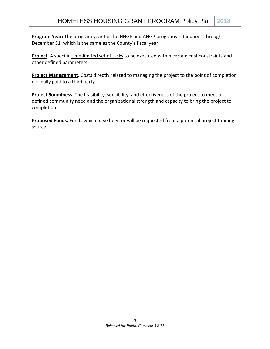**Program Year:** The program year for the HHGP and AHGP programs is January 1 through December 31, which is the same as the County's fiscal year.

**Project**: A specific time-limited set of tasks to be executed within certain cost constraints and other defined parameters.

**Project Management.** Costs directly related to managing the project to the point of completion normally paid to a third party.

**Project Soundness.** The feasibility, sensibility, and effectiveness of the project to meet a defined community need and the organizational strength and capacity to bring the project to completion.

**Proposed Funds.** Funds which have been or will be requested from a potential project funding source.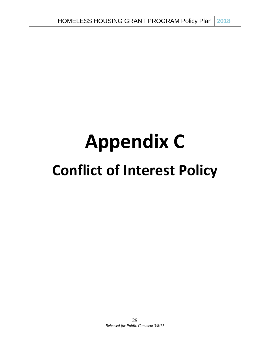# **Appendix C Conflict of Interest Policy**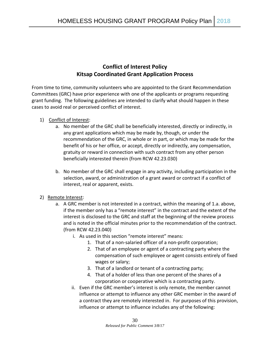## **Conflict of Interest Policy Kitsap Coordinated Grant Application Process**

From time to time, community volunteers who are appointed to the Grant Recommendation Committees (GRC) have prior experience with one of the applicants or programs requesting grant funding. The following guidelines are intended to clarify what should happen in these cases to avoid real or perceived conflict of interest.

#### 1) Conflict of Interest:

- a. No member of the GRC shall be beneficially interested, directly or indirectly, in any grant applications which may be made by, though, or under the recommendation of the GRC, in whole or in part, or which may be made for the benefit of his or her office, or accept, directly or indirectly, any compensation, gratuity or reward in connection with such contract from any other person beneficially interested therein (from RCW 42.23.030)
- b. No member of the GRC shall engage in any activity, including participation in the selection, award, or administration of a grant award or contract if a conflict of interest, real or apparent, exists.

#### 2) Remote Interest:

- a. A GRC member is not interested in a contract, within the meaning of 1.a. above, if the member only has a "remote interest" in the contract and the extent of the interest is disclosed to the GRC and staff at the beginning of the review process and is noted in the official minutes prior to the recommendation of the contract. (from RCW 42.23.040)
	- i. As used in this section "remote interest" means:
		- 1. That of a non-salaried officer of a non-profit corporation;
		- 2. That of an employee or agent of a contracting party where the compensation of such employee or agent consists entirely of fixed wages or salary;
		- 3. That of a landlord or tenant of a contracting party;
		- 4. That of a holder of less than one percent of the shares of a corporation or cooperative which is a contracting party.
	- ii. Even if the GRC member's interest is only remote, the member cannot influence or attempt to influence any other GRC member in the award of a contract they are remotely interested in. For purposes of this provision, influence or attempt to influence includes any of the following: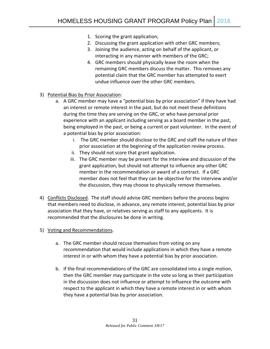- 1. Scoring the grant application;
- 2. Discussing the grant application with other GRC members;
- 3. Joining the audience, acting on behalf of the applicant, or interacting in any manner with members of the GRC;
- 4. GRC members should physically leave the room when the remaining GRC members discuss the matter. This removes any potential claim that the GRC member has attempted to exert undue influence over the other GRC members.
- 3) Potential Bias by Prior Association:
	- a. A GRC member may have a "potential bias by prior association" if they have had an interest or remote interest in the past, but do not meet these definitions during the time they are serving on the GRC, or who have personal prior experience with an applicant including serving as a board member in the past, being employed in the past, or being a current or past volunteer. In the event of a potential bias by prior association:
		- i. The GRC member should disclose to the GRC and staff the nature of their prior association at the beginning of the application review process.
		- ii. They should not score that grant application.
		- iii. The GRC member may be present for the interview and discussion of the grant application, but should not attempt to influence any other GRC member in the recommendation or award of a contract. If a GRC member does not feel that they can be objective for the interview and/or the discussion, they may choose to physically remove themselves.
- 4) Conflicts Disclosed. The staff should advise GRC members before the process begins that members need to disclose, in advance, any remote interest, potential bias by prior association that they have, or relatives serving as staff to any applicants. It is recommended that the disclosures be done in writing.
- 5) Voting and Recommendations.
	- a. The GRC member should recuse themselves from voting on any recommendation that would include applications in which they have a remote interest in or with whom they have a potential bias by prior association.
	- b. If the final recommendations of the GRC are consolidated into a single motion, then the GRC member may participate in the vote so long as their participation in the discussion does not influence or attempt to influence the outcome with respect to the applicant in which they have a remote interest in or with whom they have a potential bias by prior association.